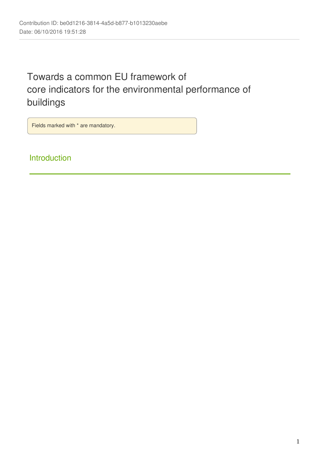# Towards a common EU framework of core indicators for the environmental performance of buildings

Fields marked with \* are mandatory.

Introduction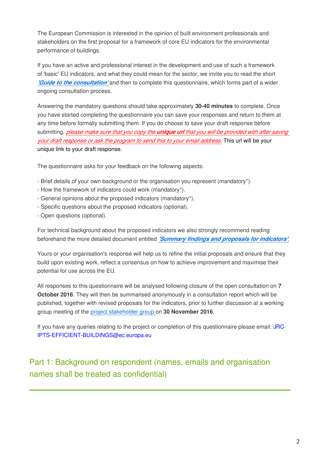The European Commission is interested in the opinion of built environment professionals and stakeholders on the first proposal for a framework of core EU indicators for the environmental performance of buildings.

If you have an active and professional interest in the development and use of such a framework of 'basic' EU indicators, and what they could mean for the sector, we invite you to read the short *['Guide to the consultation'](http://susproc.jrc.ec.europa.eu/Efficient_Buildings/documents.html)* and then to complete this questionnaire, which forms part of a wider ongoing consultation process.

Answering the mandatory questions should take approximately **30-40 minutes** to complete. Once you have started completing the questionnaire you can save your responses and return to them at any time before formally submitting them. If you do choose to save your draft response before submitting, *please make sure that you copy the unique url that you will be provided with after saving your draft response or ask the program to send this to your email address.* This url will be your unique link to your draft response.

The questionnaire asks for your feedback on the following aspects:

- Brief details of your own background or the organisation you represent (mandatory\*).
- How the framework of indicators could work (mandatory\*).
- General opinions about the proposed indicators (mandatory\*).
- Specific questions about the proposed indicators (optional).
- Open questions (optional).

For technical background about the proposed indicators we also strongly recommend reading beforehand the more detailed document entitled *['Summary findings and proposals for indicators'](http://susproc.jrc.ec.europa.eu/Efficient_Buildings/documents.html).*

Yours or your organisation's response will help us to refine the initial proposals and ensure that they build upon existing work, reflect a consensus on how to achieve improvement and maximise their potential for use across the EU.

All responses to this questionnaire will be analysed following closure of the open consultation on **7 October 2016**. They will then be summarised anonymously in a consultation report which will be published, together with revised proposals for the indicators, prior to further discussion at a working group meeting of the [project stakeholder group o](http://susproc.jrc.ec.europa.eu/Efficient_Buildings/subgroups.html)n **30 November 2016**.

If you have any queries relating to the project or completion of this questionnaire please email: JRC-IPTS-EFFICIENT-BUILDINGS@ec.europa.eu

# Part 1: Background on respondent (names, emails and organisation names shall be treated as confidential)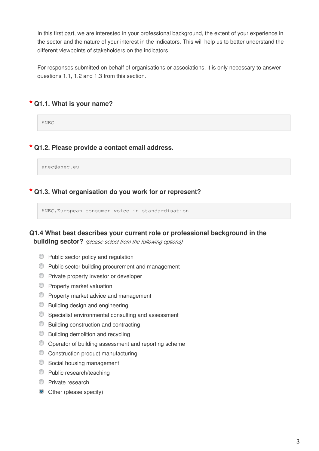In this first part, we are interested in your professional background, the extent of your experience in the sector and the nature of your interest in the indicators. This will help us to better understand the different viewpoints of stakeholders on the indicators.

For responses submitted on behalf of organisations or associations, it is only necessary to answer questions 1.1, 1.2 and 1.3 from this section.

# **\* Q1.1. What is your name?**

ANEC

### **\* Q1.2. Please provide a contact email address.**

anec@anec.eu

#### **\* Q1.3. What organisation do you work for or represent?**

ANEC,European consumer voice in standardisation

# **Q1.4 What best describes your current role or professional background in the building sector?** *(please select from the following options)*

- **Public sector policy and regulation**
- Public sector building procurement and management
- **Private property investor or developer**
- **Property market valuation**
- **Property market advice and management**
- **Building design and engineering**
- Specialist environmental consulting and assessment
- **Building construction and contracting**
- **Building demolition and recycling**
- Operator of building assessment and reporting scheme
- Construction product manufacturing
- Social housing management
- **Public research/teaching**
- **Private research**
- Other (please specify)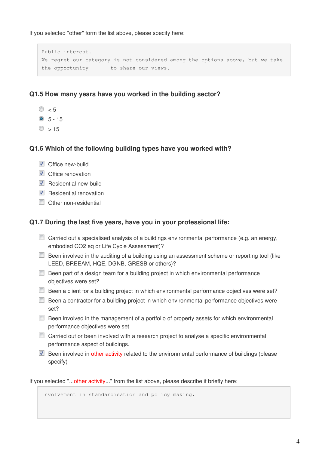If you selected "other" form the list above, please specify here:

Public interest. We regret our category is not considered among the options above, but we take the opportunity to share our views.

# **Q1.5 How many years have you worked in the building sector?**

- $\circ$   $\sim$  5
- $\odot$  5 15
- $\circ$   $\sim$  15

### **Q1.6 Which of the following building types have you worked with?**

- **V** Office new-build
- $\triangledown$  Office renovation
- $\triangledown$  Residential new-build
- $\nabla$  Residential renovation
- Other non-residential

### **Q1.7 During the last five years, have you in your professional life:**

- Carried out a specialised analysis of a buildings environmental performance (e.g. an energy, embodied CO2 eq or Life Cycle Assessment)?
- Been involved in the auditing of a building using an assessment scheme or reporting tool (like LEED, BREEAM, HQE, DGNB, GRESB or others)?
- **Been part of a design team for a building project in which environmental performance** objectives were set?
- Been a client for a building project in which environmental performance objectives were set?
- **Been a contractor for a building project in which environmental performance objectives were** set?
- Been involved in the management of a portfolio of property assets for which environmental performance objectives were set.
- Carried out or been involved with a research project to analyse a specific environmental performance aspect of buildings.
- $\blacksquare$  Been involved in other activity related to the environmental performance of buildings (please specify)

If you selected "...other activity..." from the list above, please describe it briefly here:

Involvement in standardisation and policy making.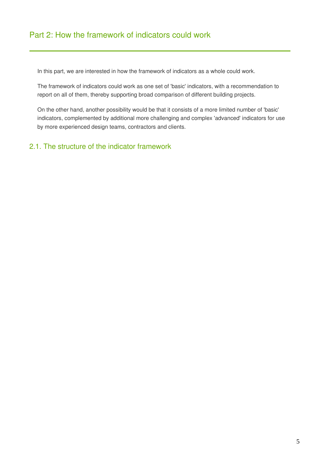In this part, we are interested in how the framework of indicators as a whole could work.

The framework of indicators could work as one set of 'basic' indicators, with a recommendation to report on all of them, thereby supporting broad comparison of different building projects.

On the other hand, another possibility would be that it consists of a more limited number of 'basic' indicators, complemented by additional more challenging and complex 'advanced' indicators for use by more experienced design teams, contractors and clients.

# 2.1. The structure of the indicator framework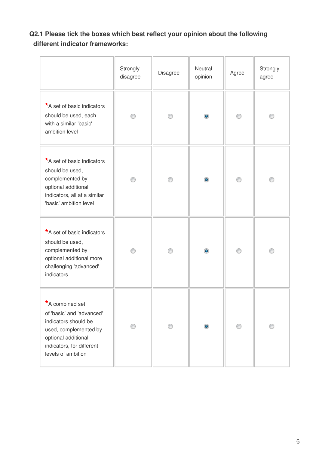# **Q2.1 Please tick the boxes which best reflect your opinion about the following different indicator frameworks:**

|                                                                                                                                                                         | Strongly<br>disagree | Disagree | Neutral<br>opinion | Agree | Strongly<br>agree |
|-------------------------------------------------------------------------------------------------------------------------------------------------------------------------|----------------------|----------|--------------------|-------|-------------------|
| *A set of basic indicators<br>should be used, each<br>with a similar 'basic'<br>ambition level                                                                          | ∩                    |          | $\bullet$          | ⊙     | ∩                 |
| *A set of basic indicators<br>should be used,<br>complemented by<br>optional additional<br>indicators, all at a similar<br>'basic' ambition level                       | ∩                    | ∩        | $\bullet$          | ⊙     | ∩                 |
| *A set of basic indicators<br>should be used,<br>complemented by<br>optional additional more<br>challenging 'advanced'<br>indicators                                    | ∩                    | ∩        | $\bullet$          | ⊙     | ∩                 |
| *A combined set<br>of 'basic' and 'advanced'<br>indicators should be<br>used, complemented by<br>optional additional<br>indicators, for different<br>levels of ambition |                      | ⊙        | $\bullet$          | ⊙     |                   |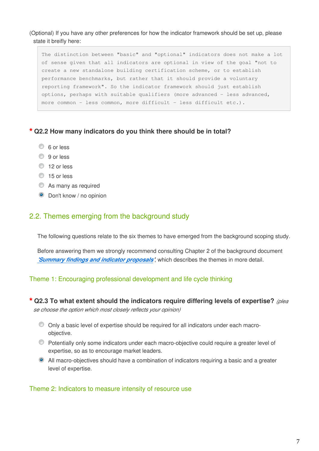(Optional) If you have any other preferences for how the indicator framework should be set up, please state it breifly here:

The distinction between "basic" and "optional" indicators does not make a lot of sense given that all indicators are optional in view of the goal "not to create a new standalone building certification scheme, or to establish performance benchmarks, but rather that it should provide a voluntary reporting framework". So the indicator framework should just establish options, perhaps with suitable qualifiers (more advanced - less advanced, more common - less common, more difficult - less difficult etc.).

#### **\* Q2.2 How many indicators do you think there should be in total?**

- C 6 or less
- **9** or less
- <sup>12</sup> or less
- $\circ$  15 or less
- As many as required
- **O** Don't know / no opinion

#### 2.2. Themes emerging from the background study

The following questions relate to the six themes to have emerged from the background scoping study.

Before answering them we strongly recommend consulting Chapter 2 of the background document *['Summary findings and indicator proposals](http://susproc.jrc.ec.europa.eu/Efficient_Buildings/documents.html)'*, which describes the themes in more detail.

#### Theme 1: Encouraging professional development and life cycle thinking

#### **\* Q2.3 To what extent should the indicators require differing levels of expertise?** *(plea*

*se choose the option which most closely reflects your opinion)*

- Only a basic level of expertise should be required for all indicators under each macroobjective.
- Potentially only some indicators under each macro-objective could require a greater level of expertise, so as to encourage market leaders.
- All macro-objectives should have a combination of indicators requiring a basic and a greater level of expertise.

#### Theme 2: Indicators to measure intensity of resource use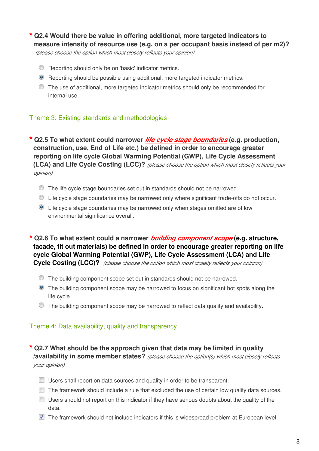**\* Q2.4 Would there be value in offering additional, more targeted indicators to** 

**measure intensity of resource use (e.g. on a per occupant basis instead of per m2)?**

*(please choose the option which most closely reflects your opinion)*

- **C** Reporting should only be on 'basic' indicator metrics.
- Reporting should be possible using additional, more targeted indicator metrics.
- The use of additional, more targeted indicator metrics should only be recommended for internal use.

# Theme 3: Existing standards and methodologies

**\* Q2.5 To what extent could narrower** *life cycle stage boundaries* **(e.g. production, construction, use, End of Life etc.) be defined in order to encourage greater reporting on life cycle Global Warming Potential (GWP), Life Cycle Assessment (LCA) and Life Cycle Costing (LCC)?** *(please choose the option which most closely reflects your opinion)*

- The life cycle stage boundaries set out in standards should not be narrowed.
- Life cycle stage boundaries may be narrowed only where significant trade-offs do not occur.
- Life cycle stage boundaries may be narrowed only when stages omitted are of low environmental significance overall.

**\* Q2.6 To what extent could a narrower** *building component scope* **(e.g. structure, facade, fit out materials) be defined in order to encourage greater reporting on life cycle Global Warming Potential (GWP), Life Cycle Assessment (LCA) and Life Cycle Costing (LCC)?**  *(please choose the option which most closely reflects your opinion)*

- The building component scope set out in standards should not be narrowed.
- The building component scope may be narrowed to focus on significant hot spots along the life cycle.
- $\bullet$  The building component scope may be narrowed to reflect data quality and availability.

# Theme 4: Data availability, quality and transparency

**\* Q2.7 What should be the approach given that data may be limited in quality /availability in some member states?** *(please choose the option(s) which most closely reflects your opinion)*

- $\Box$  Users shall report on data sources and quality in order to be transparent.
- $\Box$  The framework should include a rule that excluded the use of certain low quality data sources.
- $\Box$  Users should not report on this indicator if they have serious doubts about the quality of the data.
- $\blacksquare$  The framework should not include indicators if this is widespread problem at European level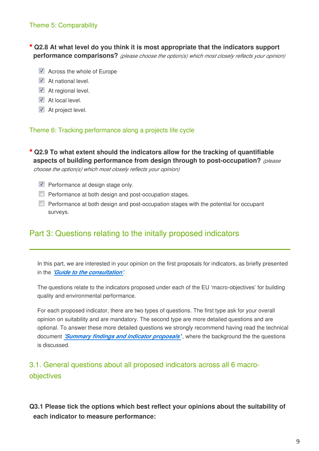# **\* Q2.8 At what level do you think it is most appropriate that the indicators support performance comparisons?** *(please choose the option(s) which most closely reflects your opinion)*

- Across the whole of Europe
- At national level.
- At regional level.
- At local level.
- $\blacksquare$  At project level.

Theme 6: Tracking performance along a projects life cycle

**\* Q2.9 To what extent should the indicators allow for the tracking of quantifiable aspects of building performance from design through to post-occupation?** *(please* 

*choose the option(s) which most closely reflects your opinion)*

- $\triangledown$  Performance at design stage only.
- **Performance at both design and post-occupation stages.**
- **Performance at both design and post-occupation stages with the potential for occupant** surveys.

# Part 3: Questions relating to the initally proposed indicators

In this part, we are interested in your opinion on the first proposals for indicators, as briefly presented in the *['Guide to the consultation](http://susproc.jrc.ec.europa.eu/Efficient_Buildings/documents.html)'*.

The questions relate to the indicators proposed under each of the EU 'macro-objectives' for building quality and environmental performance.

For each proposed indicator, there are two types of questions. The first type ask for your overall opinion on suitability and are mandatory. The second type are more detailed questions and are optional. To answer these more detailed questions we strongly recommend having read the technical document *['Summary findings and indicator proposals](http://susproc.jrc.ec.europa.eu/Efficient_Buildings/documents.html)* **'**, where the background the the questions is discussed.

# 3.1. General questions about all proposed indicators across all 6 macroobjectives

**Q3.1 Please tick the options which best reflect your opinions about the suitability of each indicator to measure performance:**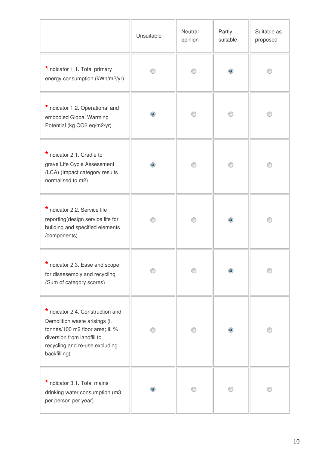|                                                                                                                                                                                      | Unsuitable | Neutral<br>opinion | Partly<br>suitable | Suitable as<br>proposed |
|--------------------------------------------------------------------------------------------------------------------------------------------------------------------------------------|------------|--------------------|--------------------|-------------------------|
| *Indicator 1.1. Total primary<br>energy consumption (kWh/m2/yr)                                                                                                                      |            |                    |                    |                         |
| *Indicator 1.2. Operational and<br>embodied Global Warming<br>Potential (kg CO2 eq/m2/yr)                                                                                            | $\bullet$  |                    |                    |                         |
| *Indicator 2.1. Cradle to<br>grave Life Cycle Assessment<br>(LCA) (Impact category results<br>normalised to m2)                                                                      | $\bullet$  |                    |                    |                         |
| *Indicator 2.2. Service life<br>reporting(design service life for<br>building and specified elements<br>/components)                                                                 |            |                    | $\bullet$          |                         |
| *Indicator 2.3. Ease and scope<br>for disassembly and recycling<br>(Sum of category scores)                                                                                          |            |                    |                    |                         |
| *Indicator 2.4. Construction and<br>Demolition waste arisings (i.<br>tonnes/100 m2 floor area; ii. %<br>diversion from landfill to<br>recycling and re-use excluding<br>backfilling) |            |                    | ۰                  |                         |
| *Indicator 3.1. Total mains<br>drinking water consumption (m3<br>per person per year)                                                                                                |            |                    |                    |                         |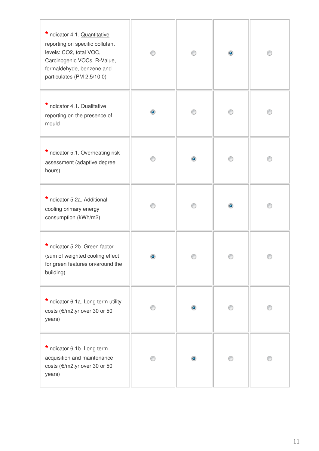| *Indicator 4.1. Quantitative<br>reporting on specific pollutant<br>levels: CO2, total VOC,<br>Carcinogenic VOCs, R-Value,<br>formaldehyde, benzene and<br>particulates (PM 2,5/10,0) | ∩ | ⊙         | $\circledcirc$ | ∩ |
|--------------------------------------------------------------------------------------------------------------------------------------------------------------------------------------|---|-----------|----------------|---|
| *Indicator 4.1. Qualitative<br>reporting on the presence of<br>mould                                                                                                                 | ۰ |           |                |   |
| *Indicator 5.1. Overheating risk<br>assessment (adaptive degree<br>hours)                                                                                                            |   | ۰         |                |   |
| *Indicator 5.2a. Additional<br>cooling primary energy<br>consumption (kWh/m2)                                                                                                        |   |           | ۰              |   |
| *Indicator 5.2b. Green factor<br>(sum of weighted cooling effect<br>for green features on/around the<br>building)                                                                    |   |           |                |   |
| *Indicator 6.1a. Long term utility<br>costs (€/m2.yr over 30 or 50<br>years)                                                                                                         |   | ۰         |                |   |
| *Indicator 6.1b. Long term<br>acquisition and maintenance<br>costs (€/m2.yr over 30 or 50<br>years)                                                                                  | ∩ | $\bullet$ |                |   |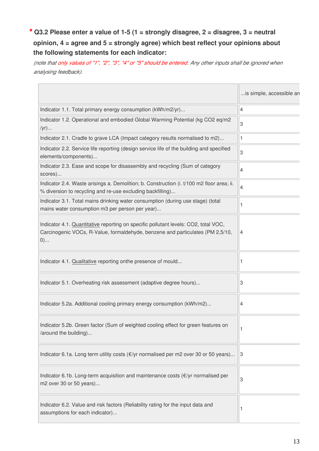# **\* Q3.2 Please enter a value of 1-5 (1 = strongly disagree, 2 = disagree, 3 = neutral opinion, 4 = agree and 5 = strongly agree) which best reflect your opinions about the following statements for each indicator:**

*(note that only values of "1", "2", "3", "4" or "5" should be entered. Any other inputs shall be ignored when analysing feedback).*

|                                                                                                                                                                                | is simple, accessible an |
|--------------------------------------------------------------------------------------------------------------------------------------------------------------------------------|--------------------------|
| Indicator 1.1. Total primary energy consumption (kWh/m2/yr)                                                                                                                    | 4                        |
| Indicator 1.2. Operational and embodied Global Warming Potential (kg CO2 eq/m2<br>$/yr)$                                                                                       | 3                        |
| Indicator 2.1. Cradle to grave LCA (Impact category results normalised to m2)                                                                                                  | 1                        |
| Indicator 2.2. Service life reporting (design service life of the building and specified<br>elements/components)                                                               | 3                        |
| Indicator 2.3. Ease and scope for disassembly and recycling (Sum of category<br>scores)                                                                                        | 4                        |
| Indicator 2.4. Waste arisings a. Demolition; b. Construction (i. t/100 m2 floor area; ii.<br>% diversion to recycling and re-use excluding backfilling)                        | 4                        |
| Indicator 3.1. Total mains drinking water consumption (during use stage) (total<br>mains water consumption m3 per person per year)                                             | 1                        |
| Indicator 4.1. Quantitative reporting on specific pollutant levels: CO2, total VOC,<br>Carcinogenic VOCs, R-Value, formaldehyde, benzene and particulates (PM 2,5/10,<br>$(0)$ | 4                        |
| Indicator 4.1. Qualitative reporting onthe presence of mould                                                                                                                   | 1                        |
| Indicator 5.1. Overheating risk assessment (adaptive degree hours)                                                                                                             | 3                        |
| Indicator 5.2a. Additional cooling primary energy consumption (kWh/m2)                                                                                                         | 4                        |
| Indicator 5.2b. Green factor (Sum of weighted cooling effect for green features on<br>/around the building)                                                                    |                          |
| Indicator 6.1a. Long term utility costs (€/yr normalised per m2 over 30 or 50 years)                                                                                           | 13                       |
| Indicator 6.1b. Long-term acquisition and maintenance costs (€/yr normalised per<br>m2 over 30 or 50 years)                                                                    | 3                        |
| Indicator 6.2. Value and risk factors (Reliability rating for the input data and<br>assumptions for each indicator)                                                            |                          |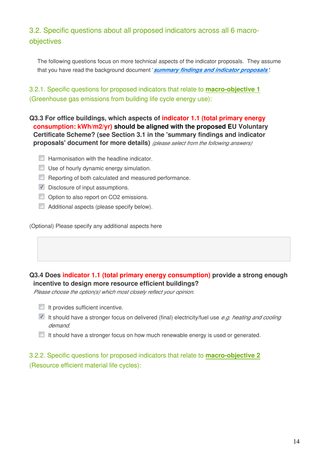# 3.2. Specific questions about all proposed indicators across all 6 macroobjectives

The following questions focus on more technical aspects of the indicator proposals. They assume that you have read the background document '*[summary findings and indicator proposals'](http://susproc.jrc.ec.europa.eu/Efficient_Buildings/documents.html)*:

3.2.1. Specific questions for proposed indicators that relate to **macro-objective 1** (Greenhouse gas emissions from building life cycle energy use):

**Q3.3 For office buildings, which aspects of indicator 1.1 (total primary energy consumption: kWh/m2/yr) should be aligned with the proposed EU Voluntary Certificate Scheme? (see Section 3.1 in the 'summary findings and indicator proposals' document for more details)** *(please select from the following answers)*

- $\Box$  Harmonisation with the headline indicator.
- **Use of hourly dynamic energy simulation.**
- Reporting of both calculated and measured performance.
- $\nabla$  Disclosure of input assumptions.
- Option to also report on CO2 emissions.
- Additional aspects (please specify below).

(Optional) Please specify any additional aspects here

# **Q3.4 Does indicator 1.1 (total primary energy consumption) provide a strong enough incentive to design more resource efficient buildings?**

*Please choose the option(s) which most closely reflect your opinion.*

- $\blacksquare$  It provides sufficient incentive.
- It should have a stronger focus on delivered (final) electricity/fuel use *e.g. heating and cooling demand*.
- $\Box$  It should have a stronger focus on how much renewable energy is used or generated.

3.2.2. Specific questions for proposed indicators that relate to **macro-objective 2** (Resource efficient material life cycles):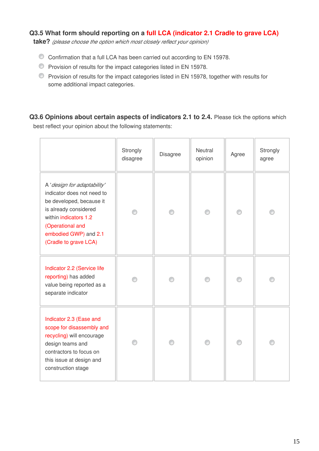# **Q3.5 What form should reporting on a full LCA (indicator 2.1 Cradle to grave LCA)**

**take?** *(please choose the option which most closely reflect your opinion)*

- Confirmation that a full LCA has been carried out according to EN 15978.
- Provision of results for the impact categories listed in EN 15978.
- Provision of results for the impact categories listed in EN 15978, together with results for some additional impact categories.

Q3.6 Opinions about certain aspects of indicators 2.1 to 2.4. Please tick the options which best reflect your opinion about the following statements:

|                                                                                                                                                                                                               | Strongly<br>disagree | Disagree | Neutral<br>opinion | Agree | Strongly<br>agree |
|---------------------------------------------------------------------------------------------------------------------------------------------------------------------------------------------------------------|----------------------|----------|--------------------|-------|-------------------|
| A 'design for adaptability'<br>indicator does not need to<br>be developed, because it<br>is already considered<br>within indicators 1.2<br>(Operational and<br>embodied GWP) and 2.1<br>(Cradle to grave LCA) | ∩                    | ∩        | ⊙                  | ∩     |                   |
| Indicator 2.2 (Service life<br>reporting) has added<br>value being reported as a<br>separate indicator                                                                                                        |                      |          |                    |       |                   |
| Indicator 2.3 (Ease and<br>scope for disassembly and<br>recycling) will encourage<br>design teams and<br>contractors to focus on<br>this issue at design and<br>construction stage                            |                      |          | ⋒                  |       |                   |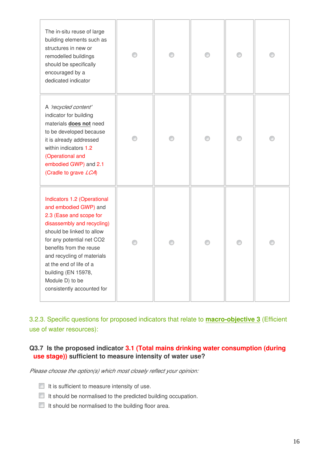| The in-situ reuse of large<br>building elements such as<br>structures in new or<br>remodelled buildings<br>should be specifically<br>encouraged by a<br>dedicated indicator                                                                                                                                                         | ⋒ | ⊙ | ⊙ |  |
|-------------------------------------------------------------------------------------------------------------------------------------------------------------------------------------------------------------------------------------------------------------------------------------------------------------------------------------|---|---|---|--|
| A 'recycled content'<br>indicator for building<br>materials does not need<br>to be developed because<br>it is already addressed<br>within indicators 1.2<br>(Operational and<br>embodied GWP) and 2.1<br>(Cradle to grave LCA)                                                                                                      |   | ⊙ | ∩ |  |
| Indicators 1.2 (Operational<br>and embodied GWP) and<br>2.3 (Ease and scope for<br>disassembly and recycling)<br>should be linked to allow<br>for any potential net CO2<br>benefits from the reuse<br>and recycling of materials<br>at the end of life of a<br>building (EN 15978,<br>Module D) to be<br>consistently accounted for |   |   |   |  |

3.2.3. Specific questions for proposed indicators that relate to **macro-objective 3** (Efficient use of water resources):

# **Q3.7 Is the proposed indicator 3.1 (Total mains drinking water consumption (during use stage)) sufficient to measure intensity of water use?**

*Please choose the option(s) which most closely reflect your opinion:*

- $\blacksquare$  It is sufficient to measure intensity of use.
- $\Box$  It should be normalised to the predicted building occupation.
- $\Box$  It should be normalised to the building floor area.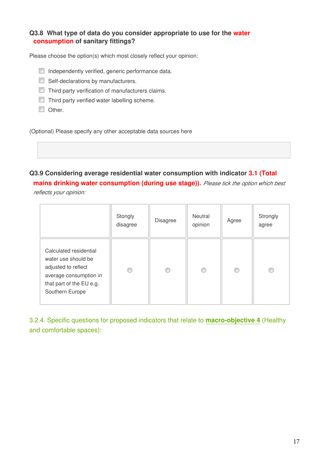# **Q3.8 What type of data do you consider appropriate to use for the water consumption of sanitary fittings?**

Please choose the option(s) which most closely reflect your opinion:

- Independently verified, generic performance data.
- Self-declarations by manufacturers.
- Third party verification of manufacturers claims.
- Third party verified water labelling scheme.
- **Other.**

(Optional) Please specify any other acceptable data sources here

# **Q3.9 Considering average residential water consumption with indicator 3.1 (Total**

**mains drinking water consumption (during use stage)).** *Please tick the option which best reflects your opinion:*

|                                                                                                                                               | Stongly<br>disagree | <b>Disagree</b> | Neutral<br>opinion | Agree | Strongly<br>agree |
|-----------------------------------------------------------------------------------------------------------------------------------------------|---------------------|-----------------|--------------------|-------|-------------------|
| Calculated residential<br>water use should be<br>adjusted to reflect<br>average consumption in<br>that part of the EU e.g.<br>Southern Europe | €                   | ⊙               |                    | €     |                   |

3.2.4. Specific questions for proposed indicators that relate to **macro-objective 4** (Healthy and comfortable spaces):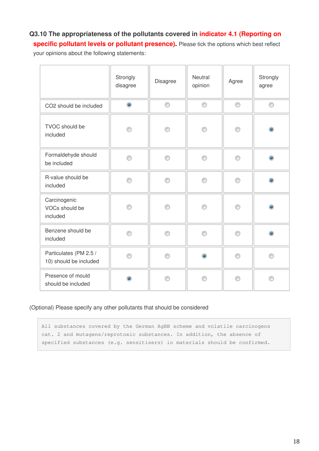# **Q3.10 The appropriateness of the pollutants covered in indicator 4.1 (Reporting on**

**specific pollutant levels or pollutant presence).** Please tick the options which best reflect

your opinions about the following statements:

|                                                  | Strongly<br>disagree | Disagree | Neutral<br>opinion | Agree | Strongly<br>agree |
|--------------------------------------------------|----------------------|----------|--------------------|-------|-------------------|
| CO2 should be included                           | $\bullet$            | 0        | 0                  | 0     | 0                 |
| TVOC should be<br>included                       | ⋒                    | ⊙        | ∩                  | ⊙     | ۵                 |
| Formaldehyde should<br>be included               | ∩                    | 0        | ⊙                  | ⊙     | $\bullet$         |
| R-value should be<br>included                    | ∩                    | ⊙        | ∩                  | ⊙     | ۱                 |
| Carcinogenic<br>VOCs should be<br>included       |                      | ⋒        | ⋒                  | ∩     | ۰                 |
| Benzene should be<br>included                    | ⋒                    | ⊙        | ⋒                  | ⊙     | $\bullet$         |
| Particulates (PM 2.5 /<br>10) should be included | ⋒                    | ∩        | ۵                  | ∩     |                   |
| Presence of mould<br>should be included          | ۵                    | ⋒        | ∩                  | ⋒     | ⋒                 |

#### (Optional) Please specify any other pollutants that should be considered

All substances covered by the German AgBB scheme and volatile carcinogens cat. 2 and mutagens/reprotoxic substances. In addition, the absence of specified substances (e.g. sensitisers) in materials should be confirmed.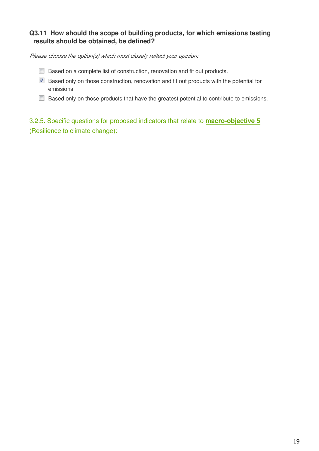# **Q3.11 How should the scope of building products, for which emissions testing results should be obtained, be defined?**

*Please choose the option(s) which most closely reflect your opinion:*

- **Based on a complete list of construction, renovation and fit out products.**
- Based only on those construction, renovation and fit out products with the potential for emissions.
- Based only on those products that have the greatest potential to contribute to emissions.

3.2.5. Specific questions for proposed indicators that relate to **macro-objective 5** (Resilience to climate change):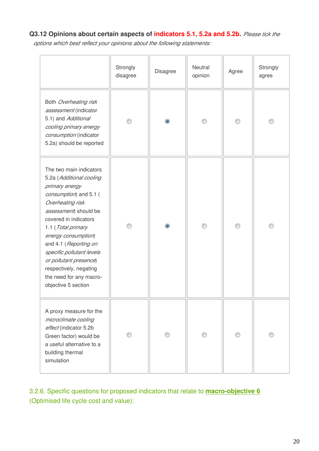# **Q3.12 Opinions about certain aspects of indicators 5.1, 5.2a and 5.2b.** *Please tick the*

*options which best reflect your opinions about the following statements:*

|                                                                                                                                                                                                                                                                                                                                                                                | Strongly<br>disagree | Disagree  | Neutral<br>opinion | Agree | Strongly<br>agree |
|--------------------------------------------------------------------------------------------------------------------------------------------------------------------------------------------------------------------------------------------------------------------------------------------------------------------------------------------------------------------------------|----------------------|-----------|--------------------|-------|-------------------|
| Both Overheating risk<br>assessment (indicator<br>5.1) and Additional<br>cooling primary energy<br>consumption (indicator<br>5.2a) should be reported                                                                                                                                                                                                                          |                      | $\bullet$ | ∩                  | ⊙     |                   |
| The two main indicators<br>5.2a (Additional cooling<br>primary energy<br>consumption) and 5.1 (<br>Overheating risk<br>assessment) should be<br>covered in indicators<br>1.1 (Total primary<br>energy consumption)<br>and 4.1 (Reporting on<br>specific pollutant levels<br>or pollutant presence)<br>respectively, negating<br>the need for any macro-<br>objective 5 section |                      | $\bullet$ |                    |       |                   |
| A proxy measure for the<br>microclimate cooling<br>effect (indicator 5.2b<br>Green factor) would be<br>a useful alternative to a<br>building thermal<br>simulation                                                                                                                                                                                                             |                      |           |                    |       |                   |

3.2.6. Specific questions for proposed indicators that relate to **macro-objective 6** (Optimised life cycle cost and value):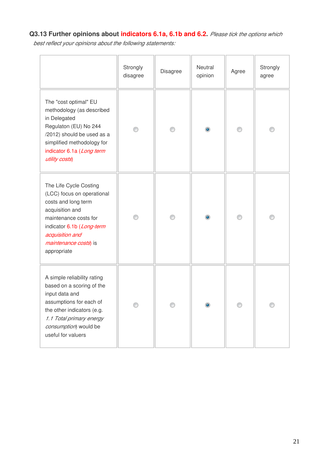# **Q3.13 Further opinions about indicators 6.1a, 6.1b and 6.2.** *Please tick the options which*

*best reflect your opinions about the following statements:*

|                                                                                                                                                                                                                         | Strongly<br>disagree | Disagree | Neutral<br>opinion | Agree | Strongly<br>agree |
|-------------------------------------------------------------------------------------------------------------------------------------------------------------------------------------------------------------------------|----------------------|----------|--------------------|-------|-------------------|
| The "cost optimal" EU<br>methodology (as described<br>in Delegated<br>Regulaton (EU) No 244<br>/2012) should be used as a<br>simplified methodology for<br>indicator 6.1a (Long term<br>utility costs)                  |                      |          | $\bullet$          |       |                   |
| The Life Cycle Costing<br>(LCC) focus on operational<br>costs and long term<br>acquisition and<br>maintenance costs for<br>indicator 6.1b (Long-term<br>acquisition and<br><i>maintenance costs</i> ) is<br>appropriate |                      | ∩        | $\bullet$          | ⊙     |                   |
| A simple reliability rating<br>based on a scoring of the<br>input data and<br>assumptions for each of<br>the other indicators (e.g.<br>1.1 Total primary energy<br>consumption) would be<br>useful for valuers          |                      |          |                    |       |                   |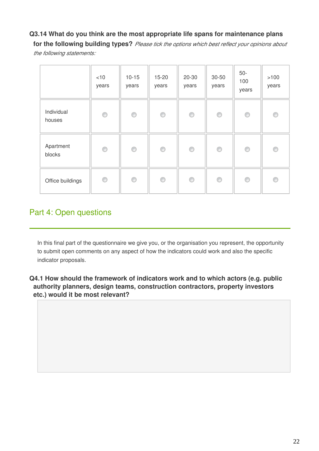# **Q3.14 What do you think are the most appropriate life spans for maintenance plans**

**for the following building types?** *Please tick the options which best reflect your opinions about the following statements:*

|                      | $<$ 10<br>years | $10 - 15$<br>years | $15 - 20$<br>years | $20 - 30$<br>years | 30-50<br>years | $50-$<br>100<br>years | $>100$<br>years |
|----------------------|-----------------|--------------------|--------------------|--------------------|----------------|-----------------------|-----------------|
| Individual<br>houses | 0               | O                  | 0                  | O                  | 0              | O                     | 0               |
| Apartment<br>blocks  | 0               | O                  | 0                  | O                  | 0              | O                     | 0               |
| Office buildings     | O               | O                  | ⊙                  | 0                  | O              | 0                     | ◉               |

# Part 4: Open questions

In this final part of the questionnaire we give you, or the organisation you represent, the opportunity to submit open comments on any aspect of how the indicators could work and also the specific indicator proposals.

**Q4.1 How should the framework of indicators work and to which actors (e.g. public authority planners, design teams, construction contractors, property investors etc.) would it be most relevant?**